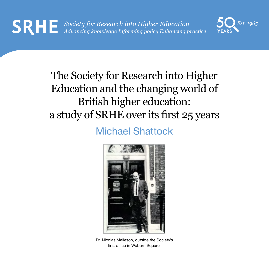

## The Society for Research into Higher Education and the changing world of British higher education: a study of SRHE over its first 25 years

### Michael Shattock



Dr. Nicolas Malleson, outside the Society's first office in Woburn Square.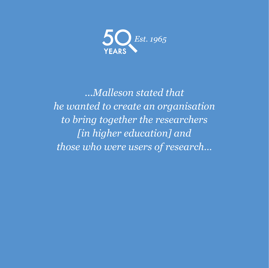

*...Malleson stated that he wanted to create an organisation to bring together the researchers [in higher education] and those who were users of research…*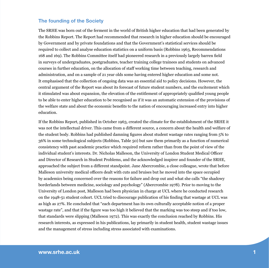#### **The founding of the Society**

The SRHE was born out of the ferment in the world of British higher education that had been generated by the Robbins Report. The Report had recommended that research in higher education should be encouraged by Government and by private foundations and that the Government's statistical services should be required to collect and analyse education statistics on a uniform basis (Robbins 1963, Recommendations 168 and 169). The Robbins Committee itself had pioneered research in a previously largely barren field in surveys of undergraduates, postgraduates, teacher training college trainees and students on advanced courses in further education, on the allocation of staff working time between teaching, research and administration, and on a sample of 21 year olds some having entered higher education and some not. It emphasised that the collection of ongoing data was an essential aid to policy decisions. However, the central argument of the Report was about its forecast of future student numbers, and the excitement which it stimulated was about expansion, the elevation of the entitlement of appropriately qualified young people to be able to enter higher education to be recognised as if it was an automatic extension of the provisions of the welfare state and about the economic benefits to the nation of encouraging increased entry into higher education.

If the Robbins Report, published in October 1963, created the climate for the establishment of the SRHE it was not the intellectual driver. This came from a different source, a concern about the health and welfare of the student body. Robbins had published damning figures about student wastage rates ranging from 5% to 36% in some technological subjects (Robbins, Table 50) but saw them primarily as a function of numerical consistency with past academic practice which required reform rather than from the point of view of the individual student's interests. Dr. Nicholas Malleson, the University of London Student Medical Officer and Director of Research in Student Problems, and the acknowledged inspirer and founder of the SRHE, approached the subject from a different standpoint. Jane Abercrombie, a close colleague, wrote that before Malleson university medical officers dealt with cuts and bruises but he moved into the space occupied by academics being concerned over the reasons for failure and drop out and what she calls "the shadowy borderlands between medicine, sociology and psychology" (Abercrombie 1978). Prior to moving to the University of London post, Malleson had been physician in charge at UCL where he conducted research on the 1948-51 student cohort. UCL tried to discourage publication of his finding that wastage at UCL was as high as 27%. He concluded that "each department has its own culturally acceptable notion of a proper wastage rate", and that if the figure was too high it believed that the marking was too steep and if too low, that standards were slipping (Malleson 1972). This was exactly the conclusion reached by Robbins. His research interests, as expressed in his publications, lay primarily in student health, student wastage issues and the management of stress including stress associated with examinations.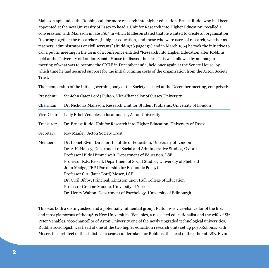Malleson applauded the Robbins call for more research into higher education. Ernest Rudd, who had been appointed at the new University of Essex to head a Unit for Research into Higher Education, recalled a conversation with Malleson in late 1963 in which Malleson stated that he wanted to create an organisation "to bring together the researchers [in higher education] and those who were users of research, whether as teachers, administrators or civil servants" (Rudd 1978 page 191) and in March 1964 he took the initiative to call a public meeting in the form of a conference entitled "Research into Higher Education after Robbins" held at the University of London Senate House to discuss the idea. This was followed by an inaugural meeting of what was to become the SRHE in December 1964, held once again at the Senate House, by which time he had secured support for the initial running costs of the organization from the Acton Society Trust.

The membership of the initial governing body of the Society, elected at the December meeting, comprised:

| President:  | Sir John (later Lord) Fulton, Vice-Chancellor of Sussex University              |
|-------------|---------------------------------------------------------------------------------|
| Chairman:   | Dr. Nicholas Malleson, Research Unit for Student Problems, University of London |
| Vice-Chair: | Lady Ethel Venables, educationalist, Aston University                           |
| Treasurer:  | Dr. Ernest Rudd, Unit for Research into Higher Education, University of Essex   |
| Secretary:  | Roy Manley, Acton Society Trust                                                 |
| Members:    | Dr. Lionel Elvin, Director, Institute of Education, University of London        |
|             | Dr. A.H. Halsey, Department of Social and Administrative Studies, Oxford        |
|             | Professor Hilde Himmelweit, Department of Education, LSE                        |
|             | Professor R.K. Kelsall, Department of Social Studies, University of Sheffield   |
|             | John Madge, PEP (Partnership for Economic Policy)                               |
|             | Professor C.A. (later Lord) Moser, LSE                                          |
|             | Dr. Cyril Bibby, Principal, Kingston upon Hull College of Education             |
|             | Professor Graeme Moodie, University of York                                     |
|             | Dr. Henry Walton, Department of Psychology, University of Edinburgh             |

This was both a distinguished and a potentially influential group: Fulton was vice-chancellor of the first and most glamorous of the 1960s New Universities, Venables, a respected educationalist and the wife of Sir Peter Venables, vice-chancellor of Aston University one of the newly upgraded technological universities, Rudd, a sociologist, was head of one of the two higher education research units set up post-Robbins, with Moser, the architect of the statistical research undertaken for Robbins, the head of the other at LSE, Elvin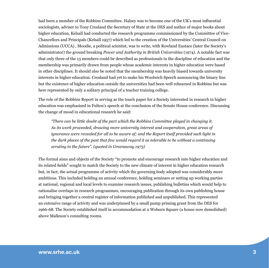had been a member of the Robbins Committee. Halsey was to become one of the UK's most influential sociologists, adviser to Tony Crosland the Secretary of State at the DES and author of major books about higher education, Kelsall had conducted the research programme commissioned by the Committee of Vice-Chancellors and Principals (Kelsall 1957) which led to the creation of the Universities' Central Council on Admissions (UCCA) , Moodie, a political scientist, was to write, with Rowland Eustace (later the Society's administrator) the ground breaking *Power and Authority in British Universities* (1974). A notable fact was that only three of the 13 members could be described as professionals in the discipline of education and the membership was primarily drawn from people whose academic interests in higher education were based in other disciplines. It should also be noted that the membership was heavily biased towards university interests in higher education. Crosland had yet to make his Woolwich Speech announcing the binary line but the existence of higher education outside the universities had been well rehearsed in Robbins but was here represented by only a solitary principal of a teacher training college.

The role of the Robbins Report in serving as the touch paper for a Society interested in research in higher education was emphasised in Fulton's speech at the conclusion of the Senate House conference. Discussing the change of mood in educational research he said:

*"There can be little doubt of the part which the Robbins Committee played in changing it. As its work proceeded, drawing more university interest and cooperation, great areas of ignorance were revealed for all to be aware of; and the Report itself provided such light in the dark places of the past that few would regard it as tolerable to be without a continuing scrutiny in the future". (quoted in Greenaway 1973)*

The formal aims and objects of the Society "to promote and encourage research into higher education and its related fields" sought to match the Society to the new climate of interest in higher education research but, in fact, the actual programme of activity which the governing body adopted was considerably more ambitious. This included holding an annual conference, holding seminars or setting up working parties at national, regional and local levels to examine research issues, publishing bulletins which would help to rationalise overlaps in research programmes, encouraging publication through its own publishing house and bringing together a central register of information published and unpublished. This represented an extensive range of activity and was underpinned by a small pump priming grant from the DES for 1966-68. The Society established itself in accommodation at 2 Woburn Square (a house now demolished) above Malleson's consulting rooms.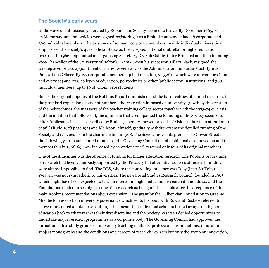#### **The Society's early years**

In the wave of enthusiasm generated by Robbins the Society seemed to thrive. By December 1965, when its Memorandum and Articles were signed registering it as a limited company, it had 58 corporate and 300 individual members. The existence of so many corporate members, mainly individual universities, emphasised the Society's quasi official status as the accepted national umbrella for higher education research. In 1966 it appointed an Organising Secretary, Dr. Bob Oxtoby (later Principal and then founding Vice-Chancellor of the University of Bolton). In 1969 when his successor, Hilary Black, resigned she was replaced by two appointments, Harriet Greenaway as the Administrator and Susan MacIntyre as Publications Officer. By 1971 corporate membership had risen to 179, 55% of which were universities (home and overseas) and 22% colleges of education, polytechnics or other 'public sector' institutions, and 368 individual members, up to 10 of whom were students.

But as the original impetus of the Robbins Report diminished and the hard realities of limited resources for the promised expansion of student numbers, the restriction imposed on university growth by the creation of the polytechnics, the massacre of the teacher training college sector together with the 1973-74 oil crisis and the inflation that followed it, the optimism that accompanied the founding of the Society seemed to falter. Malleson's ideas, as described by Rudd, "generally showed breadth of vision rather than attention to detail" (Rudd 1978 page 195) and Malleson, himself, gradually withdrew from the detailed running of the Society and resigned from the chairmanship in 1968. The Society moved its premises to Gower Street in the following year. A substantial number of the Governing Council membership had also moved on and the membership in 1968-69, now increased by co-options to 16, retained only four of its original members.

One of the difficulties was the absence of funding for higher education research. The Robbins programme of research had been generously supported by the Treasury but alternative sources of research funding were almost impossible to find. The DES, where the controlling influence was Toby (later Sir Toby) Weaver, was not sympathetic to universities. The new Social Studies Research Council, founded in 1965, which might have been expected to take an interest in higher education research did not do so, and the Foundations tended to see higher education research as being off the agenda after the acceptance of the main Robbins recommendations about expansion. (The grant by the Gulbenkian Foundation to Graeme Moodie for research on university governance which led to his book with Rowland Eustace referred to above represented a notable exception). This meant that individual scholars turned away from higher education back to whatever was their first discipline and the Society was itself denied opportunities to undertake major research programmes as a corporate body. The Governing Council had approved the formation of five study groups on university teaching methods, professional examinations, innovation, subject monographs and the conditions and careers of research workers but only the group on innovation,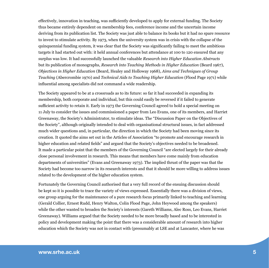effectively, innovation in teaching, was sufficiently developed to apply for external funding. The Society thus became entirely dependent on membership fees, conference income and the uncertain income deriving from its publication list. The Society was just able to balance its books but it had no spare resource to invest to stimulate activity. By 1973, when the university system was in crisis with the collapse of the quinquennial funding system, it was clear that the Society was significantly failing to meet the ambitious targets it had started out with: it held annual conferences but attendance at 100 to 120 ensured that any surplus was low. It had successfully launched the valuable *Research into Higher Education Abstracts* but its publication of monographs, *Research into Teaching Methods in Higher Education* (Beard 1967), *Objectives in Higher Education* (Beard, Healey and Holloway 1968), *Aims and Techniques of Group Teaching* (Abercrombie 1970) and *Technical Aids to Teaching Higher Education* (Flood Page 1971) while influential among specialists did not command a wide readership.

The Society appeared to be at a crossroads as to its future: so far it had succeeded in expanding its membership, both corporate and individual, but this could easily be reversed if it failed to generate sufficient activity to retain it. Early in 1973 the Governing Council agreed to hold a special meeting on 11 July to consider the issues and commissioned a paper from Leo Evans, one of its members, and Harriet Greenaway, the Society's Administrator, to stimulate ideas. The "Discussion Paper on the Objectives of the Society", although originally intended to deal with organisational structural issues, in fact addressed much wider questions and, in particular, the direction in which the Society had been moving since its creation. It quoted the aims set out in the Articles of Association "to promote and encourage research in higher education and related fields" and argued that the Society's objectives needed to be broadened. It made a particular point that the members of the Governing Council "are elected largely for their already close personal involvement in research. This means that members have come mainly from education departments of universities" (Evans and Greenaway 1973). The implied thrust of the paper was that the Society had become too narrow in its research interests and that it should be more willing to address issues related to the development of the higher education system.

Fortunately the Governing Council authorised that a very full record of the ensuing discussion should be kept so it is possible to trace the variety of views expressed. Essentially there was a division of views, one group arguing for the maintenance of a pure research focus primarily linked to teaching and learning (Gerald Collier, Ernest Rudd, Henry Walton, Colin Flood Page, John Heywood among the speakers) while the other wanted to broaden the Society's interests (Gareth Williams, Alec Ross, Leo Evans, Harriet Greenaway). Williams argued that the Society needed to be more broadly based and to be interested in policy and development making the point that there was a considerable amount of research into higher education which the Society was not in contact with (presumably at LSE and at Lancaster, where he was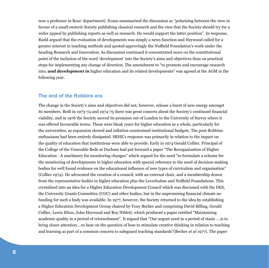now a professor in Ross' department). Evans summarised the discussion as "polarising between the view in favour of a small esoteric Society publishing classical research and the view that the Society should try for a wider appeal by publishing reports as well as research. He would support the latter position". In response, Rudd argued that the evaluation of developments was simply a news function and Heywood called for a greater interest in teaching methods and quoted approvingly the Nuffield Foundation's work under the heading Research and Innovation. As discussion continued it concentrated more on the constitutional point of the inclusion of the word 'development' into the Society's aims and objectives than on practical steps for implementing any change of direction. The amendment to "to promote and encourage research into, *and development in* higher education and its related developments" was agreed at the AGM in the following year.

#### **The end of the Robbins era**

The change in the Society's aims and objectives did not, however, release a burst of new energy amongst its members. Both in 1973-74 and 1974-75 there was great concern about the Society's continued financial viability, and in 1976 the Society moved its premises out of London to the University of Surrey where it was offered favourable terms. These were bleak years for higher education as a whole, particularly for the universities, as expansion slowed and inflation constrained institutional budgets. The post-Robbins enthusiasm had been entirely dissipated. SRHE's response was primarily in relation to the impact on the quality of education that institutions were able to provide. Early in 1974 Gerald Collier, Principal of the College of the Venerable Bede at Durham had put forward a paper "The Reorganisation of Higher Education - A machinery for monitoring changes" which argued for the need "to formulate a scheme for the monitoring of developments in higher education with special reference to the need of decision-making bodies for well found evidence on the educational influence of new types of curriculum and organisation" (Collier 1974). He advocated the creation of a council, with an external chair, and a membership drawn from the representative bodies in higher education plus the Leverhulme and Nuffield Foundations. This crystalised into an idea for a Higher Education Development Council which was discussed with the DES, the University Grants Committee (UGC) and other bodies, but in the unpromising financial climate no funding for such a body was available. In 1977, however, the Society returned to the idea by establishing a Higher Education Development Group chaired by Tony Becher and comprising David Billing, Gerald Collier, Lewis Elton, John Heywood and Roy Niblett, which produced a paper entitled "Maintaining academic quality in a period of retrenchment". It argued that "Our urgent need in a period of stasis ….is to bring closer attention….to bear on the question of how to stimulate creative thinking in relation to teaching and learning as part of a common concern to safeguard teaching standards"(Becher *et al* 1977). The paper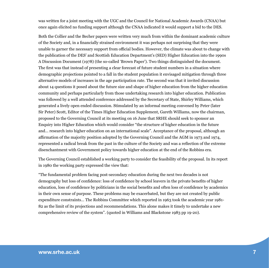was written for a joint meeting with the UGC and the Council for National Academic Awards (CNAA) but once again elicited no funding support although the CNAA indicated it would support a bid to the DES.

Both the Collier and the Becher papers were written very much from within the dominant academic culture of the Society and, in a financially strained environment it was perhaps not surprising that they were unable to garner the necessary support from official bodies. However, the climate was about to change with the publication of the DES' and Scottish Education Department's (SED) Higher Education into the 1990s A Discussion Document (1978) (the so-called 'Brown Paper'). Two things distinguished the document. The first was that instead of presenting a clear forecast of future student numbers in a situation where demographic projections pointed to a fall in the student population it envisaged mitigation through three alternative models of increases in the age participation rate. The second was that it invited discussion about 14 questions it posed about the future size and shape of higher education from the higher education community and perhaps particularly from those undertaking research into higher education. Publication was followed by a well attended conference addressed by the Secretary of State, Shirley Williams, which generated a lively open ended discussion. Stimulated by an informal meeting convened by Peter (later Sir Peter) Scott, Editor of the Times Higher Education Supplement, Gareth Williams, now the chairman, proposed to the Governing Council at its meeting on 16 June that SRHE should seek to sponsor an Enquiry into Higher Education which would consider "the structure of higher education in the future and… research into higher education on an international scale". Acceptance of the proposal, although an affirmation of the majority position adopted by the Governing Council and the AGM in 1973 and 1974, represented a radical break from the past in the culture of the Society and was a reflection of the extreme disenchantment with Government policy towards higher education at the end of the Robbins era.

The Governing Council established a working party to consider the feasibility of the proposal. In its report in 1980 the working party expressed the view that:

"The fundamental problem facing post-secondary education during the next two decades is not demography but loss of confidence: loss of confidence by school leavers in the private benefits of higher education, loss of confidence by politicians in the social benefits and often loss of confidence by academics in their own sense of purpose. These problems may be exacerbated, but they are not created by public expenditure constraints… The Robbins Committee which reported in 1963 took the academic year 1981- 82 as the limit of its projections and recommendations. This alone makes it timely to undertake a new comprehensive review of the system". (quoted in Williams and Blackstone 1983 pp 19-20).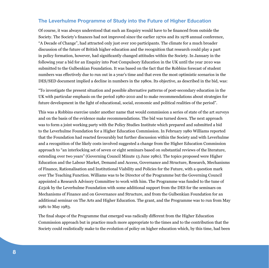#### **The Leverhulme Programme of Study into the Future of Higher Education**

Of course, it was always understood that such an Enquiry would have to be financed from outside the Society. The Society's finances had not improved since the earlier 1970s and its 1978 annual conference, "A Decade of Change", had attracted only just over 100 participants. The climate for a much broader discussion of the future of British higher education and the recognition that research could play a part in policy formation, however, had significantly changed attitudes within the Society. In January in the following year a bid for an Enquiry into Post Compulsory Education in the UK until the year 2010 was submitted to the Gulbenkian Foundation. It was based on the fact that the Robbins forecast of student numbers was effectively due to run out in a year's time and that even the most optimistic scenarios in the DES/SED document implied a decline in numbers in the 1980s. Its objective, as described in the bid, was:

"To investigate the present situation and possible alternative patterns of post-secondary education in the UK with particular emphasis on the period 1980-2010 and to make recommendations about strategies for future development in the light of educational, social, economic and political realities of the period".

This was a Robbins exercise under another name that would commission a series of state of the art surveys and on the basis of the evidence make recommendations. The bid was turned down. The next approach was to form a joint working party with the Policy Studies Institute which prepared and submitted a bid to the Leverhulme Foundation for a Higher Education Commission. In February 1980 Williams reported that the Foundation had reacted favourably but further discussion within the Society and with Leverhulme and a recognition of the likely costs involved suggested a change from the Higher Education Commission approach to "an interlocking set of seven or eight seminars based on substantial reviews of the literature, extending over two years" (Governing Council Minute 13 June 1980). The topics proposed were Higher Education and the Labour Market, Demand and Access, Governance and Structure, Research, Mechanisms of Finance, Rationalisation and Institutional Viability and Policies for the Future, with a question mark over The Teaching Function. Williams was to be Director of the Programme but the Governing Council appointed a Research Advisory Committee to work with him. The Programme was funded to the tune of  $E250k$  by the Leverhulme Foundation with some additional support from the DES for the seminars on Mechanisms of Finance and on Governance and Structure, and from the Gulbenkian Foundation for an additional seminar on The Arts and Higher Education. The grant, and the Programme was to run from May 1981 to May 1983.

The final shape of the Programme that emerged was radically different from the Higher Education Commission approach but in practice much more appropriate to the times and to the contribution that the Society could realistically make to the evolution of policy on higher education which, by this time, had been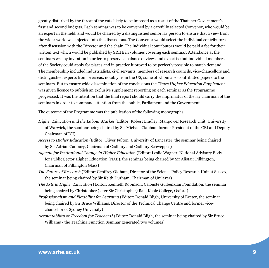greatly disturbed by the threat of the cuts likely to be imposed as a result of the Thatcher Government's first and second budgets. Each seminar was to be convened by a carefully selected Convenor, who would be an expert in the field, and would be chaired by a distinguished senior lay person to ensure that a view from the wider world was injected into the discussions. The Convenor would select the individual contributors after discussion with the Director and the chair. The individual contributors would be paid a fee for their written text which would be published by SRHE in volumes covering each seminar. Attendance at the seminars was by invitation in order to preserve a balance of views and expertise but individual members of the Society could apply for places and in practice it proved to be perfectly possible to match demand. The membership included industrialists, civil servants, members of research councils, vice-chancellors and distinguished experts from overseas, notably from the US, some of whom also contributed papers to the seminars. But to ensure wide dissemination of the conclusions the *Times Higher Education Supplement* was given licence to publish an exclusive supplement reporting on each seminar as the Programme progressed. It was the intention that the final report should carry the imprimatur of the lay chairman of the seminars in order to command attention from the public, Parliament and the Government.

The outcome of the Programme was the publication of the following monographs:

- *Higher Education and the Labour Market* (Editor: Robert Lindley, Manpower Research Unit, University of Warwick, the seminar being chaired by Sir Michael Clapham former President of the CBI and Deputy Chairman of ICI)
- *Access to Higher Education* (Editor: Oliver Fulton, University of Lancaster, the seminar being chaired by Sir Adrian Cadbury, Chairman of Cadbury and Cadbury Schweppes)
- *Agenda for Institutional Change in Higher Education* (Editor: Leslie Wagner, National Advisory Body for Public Sector Higher Education (NAB), the seminar being chaired by Sir Alistair Pilkington, Chairman of Pilkington Glass)
- *The Future of Research* (Editor: Geoffrey Oldham, Director of the Science Policy Research Unit at Sussex, the seminar being chaired by Sir Keith Durham, Chairman of Unilever)
- *The Arts in Higher Education* (Editor: Kenneth Robinson, Calouste Gulbenkian Foundation, the seminar being chaired by Christopher (later Sir Christopher) Ball, Keble College, Oxford)
- *Professionalism and Flexibility for Learning* (Editor: Donald Bligh, University of Exeter, the seminar being chaired by Sir Bruce Williams, Director of the Technical Change Centre and former vicechancellor of Sydney University)
- *Accountability or Freedom for Teachers?* (Editor: Donald Bligh, the seminar being chaired by Sir Bruce Williams - the Teaching Function Seminar generated two volumes)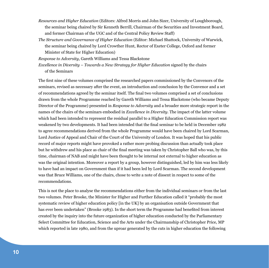- *Resources and Higher Education* (Editors: Alfred Morris and John Sizer, University of Loughborough, the seminar being chaired by Sir Kenneth Berrill, Chairman of the Securities and Investment Board, and former Chairman of the UGC and of the Central Policy Review Staff)
- *The Structure and Governance of Higher Education* (Editor: Michael Shattock, University of Warwick, the seminar being chaired by Lord Crowther Hunt, Rector of Exeter College, Oxford and former Minister of State for Higher Education)

*Response to Adversity*, Gareth Williams and Tessa Blackstone

*Excellence in Diversity – Towards a New Strategy for Higher Education* signed by the chairs of the Seminars

The first nine of these volumes comprised the researched papers commissioned by the Convenors of the seminars, revised as necessary after the event, an introduction and conclusion by the Convenor and a set of recommendations agreed by the seminar itself. The final two volumes comprised a set of conclusions drawn from the whole Programme reached by Gareth Williams and Tessa Blackstone (who became Deputy Director of the Programme) presented in *Response to Adversity* and a broader more strategic report in the names of the chairs of the seminars embodied in *Excellence in Diversity*. The impact of the latter volume which had been intended to represent the residual parallel to a Higher Education Commission report was weakened by two developments. It had been intended that the final seminar to be held in December 1982 to agree recommendations derived from the whole Programme would have been chaired by Lord Scarman, Lord Justice of Appeal and Chair of the Court of the University of London. It was hoped that his public record of major reports might have provoked a rather more probing discussion than actually took place but he withdrew and his place as chair of the final meeting was taken by Christopher Ball who was, by this time, chairman of NAB and might have been thought to be internal not external to higher education as was the original intention. Moreover a report by a group, however distinguished, led by him was less likely to have had an impact on Government than if it had been led by Lord Scarman. The second development was that Bruce Williams, one of the chairs, chose to write a note of dissent in respect to some of the recommendations.

This is not the place to analyse the recommendations either from the individual seminars or from the last two volumes. Peter Brooke, the Minister for Higher and Further Education called it "probably the most systematic review of higher education policy [in the UK] by an organisation outside Government that has ever been undertaken" (Brooke 1983). In the short term the Programme had benefited from interest created by the inquiry into the future organization of higher education conducted by the Parliamentary Select Committee for Education, Science and the Arts under the Chairmanship of Christopher Price, MP which reported in late 1980, and from the uproar generated by the cuts in higher education the following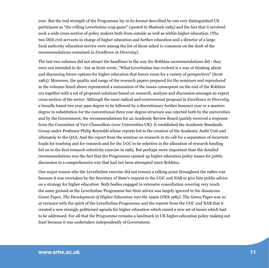year. But the real strength of the Programme lay in its format described by one very distinguished US participant as "the rolling Leverhulme crap game" (quoted in Shattock 1985) and the fact that it involved such a wide cross section of policy makers both from outside as well as within higher education. (The two DES civil servants in charge of higher education and further education and a director of a large local authority education service were among the list of those asked to comment on the draft of the recommendations contained in *Excellence in Diversity*).

The last two volumes did not attract the headlines in the way the Robbins recommendations did - they were not intended to do - but as Scott wrote, "What Leverhulme has evolved is a way of thinking about and discussing future options for higher education that leaves room for a variety of perspectives" (Scott 1983). Moreover, the quality and range of the research papers prepared for the seminars and reproduced in the volumes listed above represented a summation of the issues consequent on the end of the Robbins era together with a set of proposed solutions based on research, analysis and discussion amongst an expert cross section of the sector. Although the most radical and controversial proposal in *Excellence in Diversity*, a broadly based two year pass degree to be followed by a discretionary further honours year or a masters degree in substitution for the conventional three year degree structure was rejected both by the universities and by the Government, the recommendations for an Academic Review Board quickly received a response from the Committee of Vice-Chancellors (now Universities UK). It established the Academic Standards Group under Professor Philip Reynolds whose reports led to the creation of the Academic Audit Unit and ultimately to the QAA. And the report from the seminar on research in its call for a separation of recurrent funds for teaching and for research and for the UGC to be selective in the allocation of research funding led on to the first research selectivity exercise in 1985. But perhaps more important than the detailed recommendations was the fact that the Programme opened up higher education policy issues for public discussion in a comprehensive way that had not been attempted since Robbins.

One major reason why the Leverhulme exercise did not remain a talking point throughout the 1980s was because it was overtaken by the Secretary of State's request to the UGC and NAB to give him public advice on a strategy for higher education. Both bodies engaged in extensive consultation covering very much the same ground as the Leverhulme Programme but their advice was largely ignored in the disastrous Green Paper, *The Development of Higher Education into the 1990s* (DES 1985). The Green Paper was so at variance with the spirit of the Leverhulme Programme and the reports from the UGC and NAB that it created a new strongly politicised agenda for higher education which raised a new set of issues which had to be addressed. For all that the Programme remains a landmark in UK higher education policy making not least because it was undertaken independently of Government.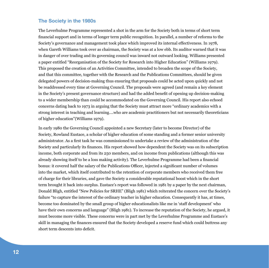#### **The Society in the 1980s**

The Leverhulme Programme represented a shot in the arm for the Society both in terms of short term financial support and in terms of longer term public recognition. In parallel, a number of reforms to the Society's governance and management took place which improved its internal effectiveness. In 1978, when Gareth Williams took over as chairman, the Society was at a low ebb. Its auditor warned that it was in danger of over trading and its governing council was inward not outward looking. Williams presented a paper entitled "Reorganisation of the Society for Research into Higher Education" (Williams 1979). This proposed the creation of an Activities Committee, intended to broaden the scope of the Society, and that this committee, together with the Research and the Publications Committees, should be given delegated powers of decision-making thus ensuring that proposals could be acted upon quickly and not be readdressed every time at Governing Council. The proposals were agreed (and remain a key element in the Society's present governance structure) and had the added benefit of opening up decision-making to a wider membership than could be accommodated on the Governing Council. His report also echoed concerns dating back to 1973 in arguing that the Society must attract more "ordinary academics with a strong interest in teaching and learning….who are academic practitioners but not necessarily theoreticians of higher education"(Williams 1979).

In early 1980 the Governing Council appointed a new Secretary (later to become Director) of the Society, Rowland Eustace, a scholar of higher education of some standing and a former senior university administrator. As a first task he was commissioned to undertake a review of the administration of the Society and particularly its finances. His report showed how dependent the Society was on its subscription income, both corporate and from its 250 members, and on income from publications (although this was already showing itself to be a loss making activity). The Leverhulme Programme had been a financial bonus: it covered half the salary of the Publications Officer, injected a significant number of volumes into the market, which itself contributed to the retention of corporate members who received them free of charge for their libraries, and gave the Society a considerable reputational boost which in the short term brought it back into surplus. Eustace's report was followed in 1981 by a paper by the next chairman, Donald Bligh, entitled "New Policies for SRHE" (Bligh 1981) which reiterated the concern over the Society's failure "to capture the interest of the ordinary teacher in higher education. Consequently it has, at times, become too dominated by the small group of higher educationalists like me in 'staff development' who have their own concerns and language" (Bligh 1981). To increase the reputation of the Society, he argued, it must become more visible. These concerns were in part met by the Leverhulme Programme and Eustace's skill in managing the finances ensured that the Society developed a reserve fund which could buttress any short term descents into deficit.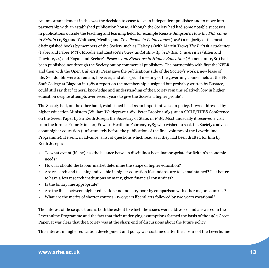An important element in this was the decision to cease to be an independent publisher and to move into partnership with an established publication house. Although the Society had had some notable successes in publications outside the teaching and learning field, for example Renate Simpson's *How the PhD came to Britain* (1983) and Whitburn, Mealing and Cox' *People in Polytechnics* (1976) a majority of the most distinguished books by members of the Society such as Halsey's (with Martin Trow) *The British Academics* (Faber and Faber 1971), Moodie and Eustace's *Power and Authority in British Universities* (Allen and Unwin 1974) and Kogan and Becher's *Process and Structure in Higher Education* (Heinemann 1980) had been published not through the Society but by commercial publishers. The partnership with first the NFER and then with the Open University Press gave the publications side of the Society's work a new lease of life. Self doubts were to remain, however, and at a special meeting of the governing council held at the FE Staff College at Blagdon in 1987 a report on the membership, unsigned but probably written by Eustace, could still say that "general knowledge and understanding of the Society remains relatively low in higher education despite attempts over recent years to give the Society a higher profile".

The Society had, on the other hand, established itself as an important voice in policy. It was addressed by higher education Ministers (William Waldegrave 1982, Peter Brooke 1983), at an SRHE/THES Conference on the Green Paper by Sir Keith Joseph the Secretary of State, in 1985. Most unusually it received a visit from the former Prime Minister, Edward Heath, in February 1983 who wished to seek the Society's advice about higher education (unfortunately before the publication of the final volumes of the Leverhulme Programme). He sent, in advance, a list of questions which read as if they had been drafted for him by Keith Joseph:

- To what extent (if any) has the balance between disciplines been inappropriate for Britain's economic needs?
- How far should the labour market determine the shape of higher education?
- Are research and teaching indivisible in higher education if standards are to be maintained? Is it better to have a few research institutions or many, given financial constraints?
- Is the binary line appropriate?
- Are the links between higher education and industry poor by comparison with other major countries?
- What are the merits of shorter courses two years liberal arts followed by two years vocational?

The interest of these questions is both the extent to which the issues were addressed and answered in the Leverhulme Programme and the fact that their underlying assumptions formed the basis of the 1985 Green Paper. It was clear that the Society was at the sharp end of discussions about the future policy.

This interest in higher education development and policy was sustained after the closure of the Leverhulme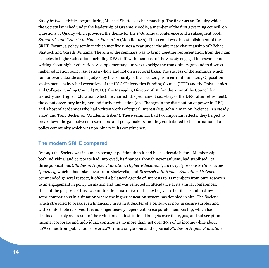Study by two activities begun during Michael Shattock's chairmanship. The first was an Enquiry which the Society launched under the leadership of Graeme Moodie, a member of the first governing council, on Questions of Quality which provided the theme for the 1985 annual conference and a subsequent book, *Standards and Criteria in Higher Education* (Moodie 1986). The second was the establishment of the SRHE Forum, a policy seminar which met five times a year under the alternate chairmanship of Michael Shattock and Gareth Williams. The aim of the seminars was to bring together representation from the main agencies in higher education, including DES staff, with members of the Society engaged in research and writing about higher education. A supplementary aim was to bridge the trans-binary gap and to discuss higher education policy issues as a whole and not on a sectoral basis. The success of the seminars which ran for over a decade can be judged by the seniority of the speakers, from current ministers, Opposition spokesmen, chairs/chief executives of the UGC/Universities Funding Council (UFC) and the Polytechnics and Colleges Funding Council (PCFC), the Managing Director of BP (on the aims of the Council for Industry and Higher Education, which he chaired) the permanent secretary of the DES (after retirement), the deputy secretary for higher and further education (on "Changes in the distribution of power in HE") and a host of academics who had written works of topical interest (e.g. John Ziman on "Science in a steady state" and Tony Becher on "Academic tribes"). These seminars had two important effects: they helped to break down the gap between researchers and policy makers and they contributed to the formation of a policy community which was non-binary in its constituency.

#### **The modern SRHE compared**

By 1990 the Society was in a much stronger position than it had been a decade before. Membership, both individual and corporate had improved, its finances, though never affluent, had stabilised, its three publications (*Studies in Higher Education*, *Higher Education Quarterly*, (previously *Universities Quarterly* which it had taken over from Blackwells) and *Research into Higher Education Abstracts* commanded general respect, it offered a balanced agenda of interests to its members from pure research to an engagement in policy formation and this was reflected in attendance at its annual conferences. It is not the purpose of this account to offer a narrative of the next 25 years but it is useful to draw some comparisons in a situation where the higher education system has doubled in size. The Society, which struggled to break even financially in its first quarter of a century, is now in secure surplus and with comfortable reserves. It is no longer heavily dependent on corporate membership, which had declined sharply as a result of the reductions in institutional budgets over the 1990s, and subscription income, corporate and individual, contributes no more than just over 20% of its income while about 50% comes from publications, over 40% from a single source, the journal *Studies in Higher Education*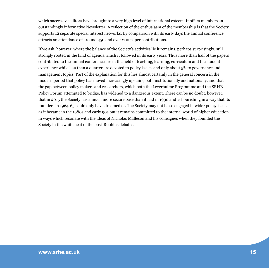which successive editors have brought to a very high level of international esteem. It offers members an outstandingly informative Newsletter. A reflection of the enthusiasm of the membership is that the Society supports 12 separate special interest networks. By comparison with its early days the annual conference attracts an attendance of around 350 and over 200 paper contributions.

If we ask, however, where the balance of the Society's activities lie it remains, perhaps surprisingly, still strongly rooted in the kind of agenda which it followed in its early years. Thus more than half of the papers contributed to the annual conference are in the field of teaching, learning, curriculum and the student experience while less than a quarter are devoted to policy issues and only about 5% to governance and management topics. Part of the explanation for this lies almost certainly in the general concern in the modern period that policy has moved increasingly upstairs, both institutionally and nationally, and that the gap between policy makers and researchers, which both the Leverhulme Programme and the SRHE Policy Forum attempted to bridge, has widened to a dangerous extent. There can be no doubt, however, that in 2015 the Society has a much more secure base than it had in 1990 and is flourishing in a way that its founders in 1964-65 could only have dreamed of. The Society may not be so engaged in wider policy issues as it became in the 1980s and early 90s but it remains committed to the internal world of higher education in ways which resonate with the ideas of Nicholas Malleson and his colleagues when they founded the Society in the white heat of the post-Robbins debates.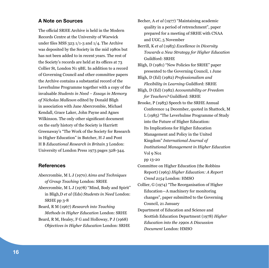#### **A Note on Sources**

The official SRHE Archive is held in the Modern Records Centre at the University of Warwick under files MSS 323 1/1-3 and 1/4. The Archive was deposited by the Society in the mid 1980s but has not been added to in recent years. The rest of the Society's records are held at its offices at 73 Collier St, London N1 9BE. In addition to a record of Governing Council and other committee papers the Archive contains a substantial record of the Leverhulme Programme together with a copy of the invaluable *Students in Need – Essays in Memory of Nicholas Malleson* edited by Donald Bligh in association with Jane Abercrombie, Michael Kendall, Grace Laker, John Payne and Agnes Wilkinson. The only other significant document on the early history of the Society is Harriett Greenaway's "The Work of the Society for Research in Higher Education" in Butcher, H J and Pont H B *Educational Research in Britain 3* London: University of London Press 1973 pages 328-344.

#### **References**

Abercrombie, M L J (1970) *Aims and Techniques of Group Teaching* London: SRHE Abercrombie, M L J (1978) "Mind, Body and Spirit" in Bligh,D *et al* (Eds) *Students in Need* London: SRHE pp 3-8 Beard, R M (1967) *Research into Teaching Methods in Higher Education* London: SRHE Beard, R M, Healey, F G and Holloway, P J (1968) *Objectives in Higher Education* London: SRHE Becher, A *et al* (1977) "Maintaining academic quality in a period of retrenchment", paper prepared for a meeting of SRHE with CNAA and UGC, 5 November

Berrill, K *et al* (1983) *Excellence in Diversity Towards a New Strategy for Higher Education*  Guildford: SRHE

Bligh, D (1981) "New Policies for SRHE" paper presented to the Governing Council, 1 June

Bligh, D (Ed) (1982) *Professionalism and Flexibility in Learning* Guildford: SRHE

Bligh, D (Ed) (1982) *Accountability or Freedom for Teachers?* Guildford: SRHE

Brooke, P (1983) Speech to the SRHE Annual Conference 14 December, quoted in Shattock, M L (1985) "The Leverhulme Programme of Study into the Future of Higher Education: Its Implications for Higher Education Management and Policy in the United Kingdom" *International Journal of Institutional Management in Higher Education* Vol 9 No1

pp 13-20

Committee on Higher Education (the Robbins Report) (1963) *Higher Education: A Report Cmnd 2154* London: HMSO

- Collier, G (1974) "The Reorganisation of Higher Education—A machinery for monitoring changes", paper submitted to the Governing Council, 21 January
- Department of Education and Science and Scottish Education Department (1978) *Higher Education into the 1990s A Discussion Document* London: HMSO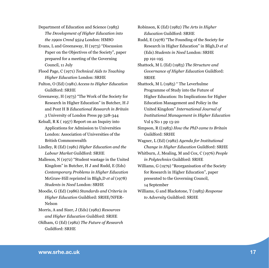Department of Education and Science (1985) *The Development of Higher Education into the 1990s Cmnd 9524* London: HMSO

Evans, L and Greenaway, H (1973) "Discussion Paper on the Objectives of the Society", paper prepared for a meeting of the Governing Council, 11 July

Flood Page, C (1971) *Technical Aids to Teaching Higher Education* London: SRHE

Fulton, O (Ed) (1981) *Access to Higher Education*  Guildford: SRHE

Greenaway, H (1973) "The Work of the Society for Research in Higher Education" in Butcher, H J and Pont H B *Educational Research in Britain 3* University of London Press pp 328-344

Kelsall, R K ( 1957) Report on an Inquiry into Applications for Admission to Universities London: Association of Universities of the British Commonwealth

Lindley, R (Ed) (1981) *Higher Education and the Labour Market* Guildford: SRHE

Malleson, N (1972) "Student wastage in the United Kingdom" in Butcher, H J and Rudd, E (Eds) *Contemporary Problems in Higher Education* McGraw-Hill reprinted in Bligh,D *et al* (1978) *Students in Need* London: SRHE

Moodie, G (Ed) (1986) *Standards and Criteria in Higher Education* Guildford: SRHE/NFER-Nelson

Morris, A and Sizer, J (Eds) (1982) *Resources and Higher Education* Guildford: SRHE

Oldham, G (Ed) (1982) *The Future of Research*  Guildford: SRHE

Robinson, K (Ed) (1982) *The Arts in Higher Education* Guildford: SRHE

Rudd, E (1978) "The Founding of the Society for Research in Higher Education" in Bligh,D *et al* (Eds) *Students in Need* London: SRHE pp 191-195

Shattock, M L (Ed) (1983) *The Structure and Governance of Higher Education* Guildford: **SRHE** 

Shattock, M L (1985) " The Leverhulme Programme of Study into the Future of Higher Education: Its Implications for Higher Education Management and Policy in the United Kingdom" *International Journal of Institutional Management in Higher Education* Vol 9 No 1 pp 13-20

Simpson, R ((1983) *How the PhD came to Britain*  Guildford: SRHE

Wagner, L (Ed) (1982) *Agenda for Institutional Change in Higher Education* Guildford: SRHE

Whitburn, J, Mealing, M and Cox, C (1976) *People in Polytechnics* Guildford: SRHE

Williams, G (1979) "Reorganisation of the Society for Research in Higher Education", paper presented to the Governing Council, 14 September

Williams, G and Blackstone, T (1983) *Response to Adversity* Guildford: SRHE